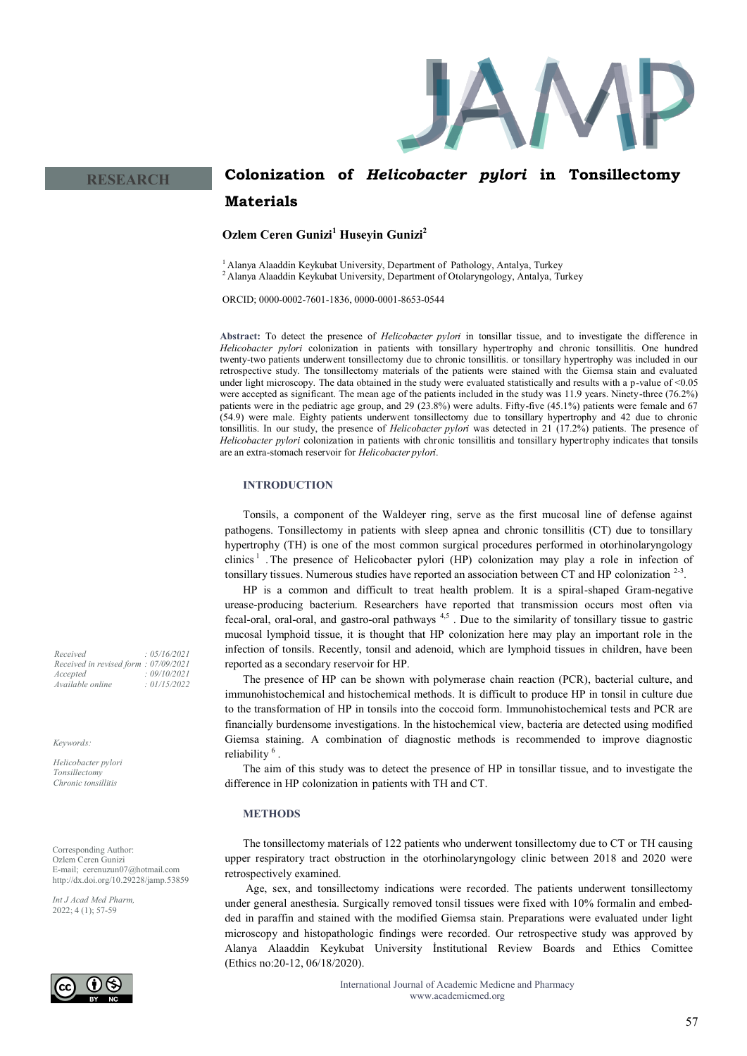

# **Colonization of** *Helicobacter pylori* **in Tonsillectomy Materials**

**Ozlem Ceren Gunizi<sup>1</sup> Huseyin Gunizi<sup>2</sup>**

<sup>1</sup> Alanya Alaaddin Keykubat University, Department of Pathology, Antalya, Turkey

 $2$  Alanya Alaaddin Keykubat University, Department of Otolaryngology, Antalya, Turkey

ORCID; 0000-0002-7601-1836, 0000-0001-8653-0544

**Abstract:** To detect the presence of *Helicobacter pylori* in tonsillar tissue, and to investigate the difference in *Helicobacter pylori* colonization in patients with tonsillary hypertrophy and chronic tonsillitis. One hundred twenty-two patients underwent tonsillectomy due to chronic tonsillitis. or tonsillary hypertrophy was included in our retrospective study. The tonsillectomy materials of the patients were stained with the Giemsa stain and evaluated under light microscopy. The data obtained in the study were evaluated statistically and results with a p-value of <0.05 were accepted as significant. The mean age of the patients included in the study was 11.9 years. Ninety-three (76.2%) patients were in the pediatric age group, and 29 (23.8%) were adults. Fifty-five (45.1%) patients were female and 67 (54.9) were male. Eighty patients underwent tonsillectomy due to tonsillary hypertrophy and 42 due to chronic tonsillitis. In our study, the presence of *Helicobacter pylori* was detected in 21 (17.2%) patients. The presence of *Helicobacter pylori* colonization in patients with chronic tonsillitis and tonsillary hypertrophy indicates that tonsils are an extra-stomach reservoir for *Helicobacter pylori*.

# **INTRODUCTION**

Tonsils, a component of the Waldeyer ring, serve as the first mucosal line of defense against pathogens. Tonsillectomy in patients with sleep apnea and chronic tonsillitis (CT) due to tonsillary hypertrophy (TH) is one of the most common surgical procedures performed in otorhinolaryngology clinics<sup>1</sup>. The presence of Helicobacter pylori (HP) colonization may play a role in infection of tonsillary tissues. Numerous studies have reported an association between CT and HP colonization  $2-3$ .

HP is a common and difficult to treat health problem. It is a spiral-shaped Gram-negative urease-producing bacterium. Researchers have reported that transmission occurs most often via fecal-oral, oral-oral, and gastro-oral pathways  $4,5$ . Due to the similarity of tonsillary tissue to gastric mucosal lymphoid tissue, it is thought that HP colonization here may play an important role in the infection of tonsils. Recently, tonsil and adenoid, which are lymphoid tissues in children, have been reported as a secondary reservoir for HP.

The presence of HP can be shown with polymerase chain reaction (PCR), bacterial culture, and immunohistochemical and histochemical methods. It is difficult to produce HP in tonsil in culture due to the transformation of HP in tonsils into the coccoid form. Immunohistochemical tests and PCR are financially burdensome investigations. In the histochemical view, bacteria are detected using modified Giemsa staining. A combination of diagnostic methods is recommended to improve diagnostic reliability<sup>6</sup>.

The aim of this study was to detect the presence of HP in tonsillar tissue, and to investigate the difference in HP colonization in patients with TH and CT.

# **METHODS**

The tonsillectomy materials of 122 patients who underwent tonsillectomy due to CT or TH causing upper respiratory tract obstruction in the otorhinolaryngology clinic between 2018 and 2020 were retrospectively examined.

Age, sex, and tonsillectomy indications were recorded. The patients underwent tonsillectomy under general anesthesia. Surgically removed tonsil tissues were fixed with 10% formalin and embedded in paraffin and stained with the modified Giemsa stain. Preparations were evaluated under light microscopy and histopathologic findings were recorded. Our retrospective study was approved by Alanya Alaaddin Keykubat University İnstitutional Review Boards and Ethics Comittee (Ethics no:20-12, 06/18/2020).

> International Journal of Academic Medicne and Pharmacy www.academicmed.org

*Received : 05/16/2021 Received in revised form : 07/09/2021 Accepted : 09/10/2021 Available online : 01/15/2022*

**RESEARCH**

*Keywords:*

*Helicobacter pylori Tonsillectomy Chronic tonsillitis*

Corresponding Author: Ozlem Ceren Gunizi E-mail; cerenuzun07@hotmail.com http://dx.doi.org/10.29228/jamp.53859

*Int J Acad Med Pharm,* 2022; 4 (1); 57-59

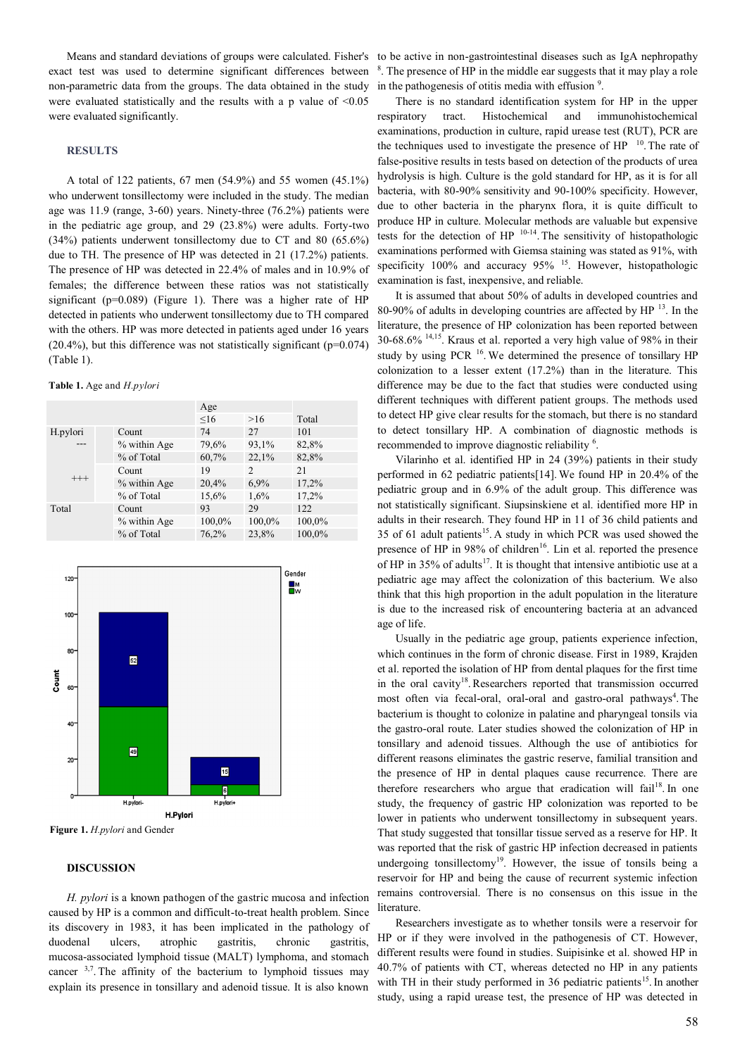Means and standard deviations of groups were calculated. Fisher's exact test was used to determine significant differences between non-parametric data from the groups. The data obtained in the study were evaluated statistically and the results with a p value of <0.05 were evaluated significantly.

#### **RESULTS**

A total of 122 patients, 67 men (54.9%) and 55 women (45.1%) who underwent tonsillectomy were included in the study. The median age was 11.9 (range, 3-60) years. Ninety-three (76.2%) patients were in the pediatric age group, and 29 (23.8%) were adults. Forty-two (34%) patients underwent tonsillectomy due to CT and 80 (65.6%) due to TH. The presence of HP was detected in 21 (17.2%) patients. The presence of HP was detected in 22.4% of males and in 10.9% of females; the difference between these ratios was not statistically significant (p=0.089) (Figure 1). There was a higher rate of HP detected in patients who underwent tonsillectomy due to TH compared with the others. HP was more detected in patients aged under 16 years  $(20.4\%)$ , but this difference was not statistically significant ( $p=0.074$ ) (Table 1).

#### **Table 1.** Age and *H.pylori*

|          |                | Age       |        |        |
|----------|----------------|-----------|--------|--------|
|          |                | $\leq 16$ | >16    | Total  |
| H.pylori | Count          | 74        | 27     | 101    |
|          | $%$ within Age | 79,6%     | 93,1%  | 82,8%  |
|          | % of Total     | 60,7%     | 22,1%  | 82,8%  |
| $^{+++}$ | Count          | 19        | 2      | 21     |
|          | % within Age   | 20,4%     | 6.9%   | 17,2%  |
|          | % of Total     | 15,6%     | 1,6%   | 17,2%  |
| Total    | Count          | 93        | 29     | 122    |
|          | % within Age   | 100,0%    | 100,0% | 100,0% |
|          | % of Total     | 76,2%     | 23,8%  | 100,0% |



**Figure 1.** *H.pylori* and Gender

#### **DISCUSSION**

*H. pylori* is a known pathogen of the gastric mucosa and infection caused by HP is a common and difficult-to-treat health problem. Since its discovery in 1983, it has been implicated in the pathology of duodenal ulcers, atrophic gastritis, chronic gastritis, mucosa-associated lymphoid tissue (MALT) lymphoma, and stomach cancer  $3,7$ . The affinity of the bacterium to lymphoid tissues may explain its presence in tonsillary and adenoid tissue. It is also known

to be active in non-gastrointestinal diseases such as IgA nephropathy <sup>8</sup>. The presence of HP in the middle ear suggests that it may play a role in the pathogenesis of otitis media with effusion  $9$ .

There is no standard identification system for HP in the upper respiratory tract. Histochemical and immunohistochemical examinations, production in culture, rapid urease test (RUT), PCR are the techniques used to investigate the presence of  $HP$ <sup>10</sup>. The rate of false-positive results in tests based on detection of the products of urea hydrolysis is high. Culture is the gold standard for HP, as it is for all bacteria, with 80-90% sensitivity and 90-100% specificity. However, due to other bacteria in the pharynx flora, it is quite difficult to produce HP in culture. Molecular methods are valuable but expensive tests for the detection of HP  $10-14$ . The sensitivity of histopathologic examinations performed with Giemsa staining was stated as 91%, with specificity 100% and accuracy 95% <sup>15</sup>. However, histopathologic examination is fast, inexpensive, and reliable.

It is assumed that about 50% of adults in developed countries and 80-90% of adults in developing countries are affected by  $HP$ <sup>13</sup>. In the literature, the presence of HP colonization has been reported between  $30-68.6\%$  <sup>14,15</sup>. Kraus et al. reported a very high value of 98% in their study by using PCR  $^{16}$ . We determined the presence of tonsillary HP colonization to a lesser extent (17.2%) than in the literature. This difference may be due to the fact that studies were conducted using different techniques with different patient groups. The methods used to detect HP give clear results for the stomach, but there is no standard to detect tonsillary HP. A combination of diagnostic methods is recommended to improve diagnostic reliability <sup>6</sup>.

Vilarinho et al. identified HP in 24 (39%) patients in their study performed in 62 pediatric patients[14]. We found HP in 20.4% of the pediatric group and in 6.9% of the adult group. This difference was not statistically significant. Siupsinskiene et al. identified more HP in adults in their research. They found HP in 11 of 36 child patients and 35 of 61 adult patients<sup>15</sup>. A study in which PCR was used showed the presence of HP in 98% of children<sup>16</sup>. Lin et al. reported the presence of HP in 35% of adults<sup>17</sup>. It is thought that intensive antibiotic use at a pediatric age may affect the colonization of this bacterium. We also think that this high proportion in the adult population in the literature is due to the increased risk of encountering bacteria at an advanced age of life.

Usually in the pediatric age group, patients experience infection, which continues in the form of chronic disease. First in 1989, Krajden et al. reported the isolation of HP from dental plaques for the first time in the oral cavity<sup>18</sup>. Researchers reported that transmission occurred most often via fecal-oral, oral-oral and gastro-oral pathways<sup>4</sup>. The bacterium is thought to colonize in palatine and pharyngeal tonsils via the gastro-oral route. Later studies showed the colonization of HP in tonsillary and adenoid tissues. Although the use of antibiotics for different reasons eliminates the gastric reserve, familial transition and the presence of HP in dental plaques cause recurrence. There are therefore researchers who argue that eradication will fail<sup>18</sup>. In one study, the frequency of gastric HP colonization was reported to be lower in patients who underwent tonsillectomy in subsequent years. That study suggested that tonsillar tissue served as a reserve for HP. It was reported that the risk of gastric HP infection decreased in patients undergoing tonsillectomy<sup>19</sup>. However, the issue of tonsils being a reservoir for HP and being the cause of recurrent systemic infection remains controversial. There is no consensus on this issue in the literature.

Researchers investigate as to whether tonsils were a reservoir for HP or if they were involved in the pathogenesis of CT. However, different results were found in studies. Suipisinke et al. showed HP in 40.7% of patients with CT, whereas detected no HP in any patients with TH in their study performed in 36 pediatric patients<sup>15</sup>. In another study, using a rapid urease test, the presence of HP was detected in